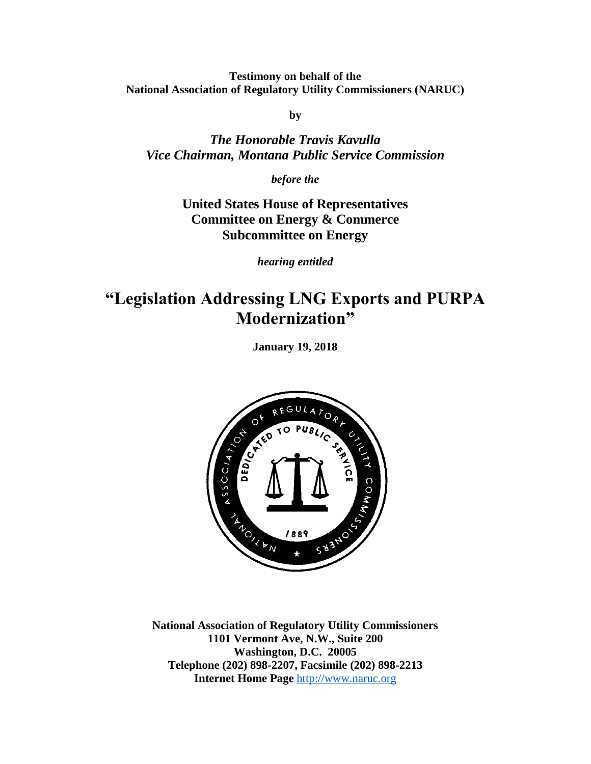**Testimony on behalf of the National Association of Regulatory Utility Commissioners (NARUC)**

**by**

*The Honorable Travis Kavulla Vice Chairman, Montana Public Service Commission*

*before the*

**United States House of Representatives Committee on Energy & Commerce Subcommittee on Energy**

*hearing entitled*

## **"Legislation Addressing LNG Exports and PURPA Modernization"**

**January 19, 2018**



**National Association of Regulatory Utility Commissioners 1101 Vermont Ave, N.W., Suite 200 Washington, D.C. 20005 Telephone (202) 898-2207, Facsimile (202) 898-2213 Internet Home Page** [http://www.naruc.org](http://www.naruc.org/)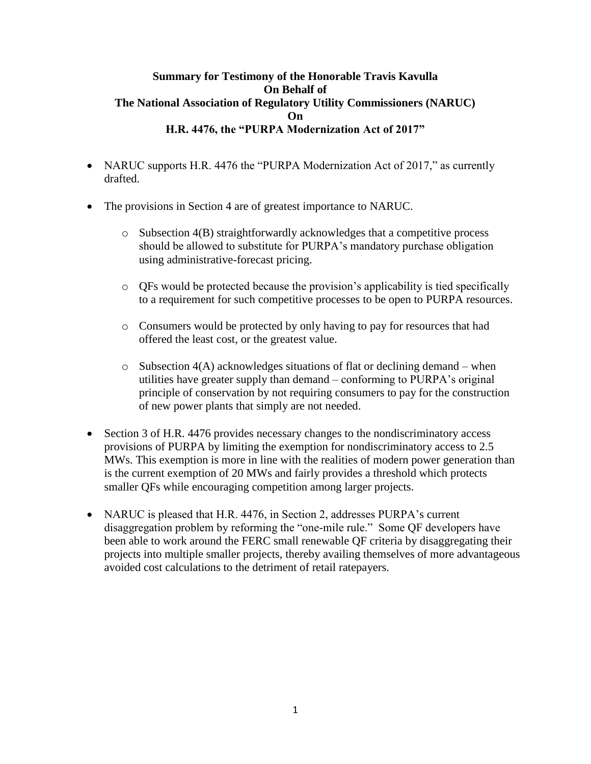## **Summary for Testimony of the Honorable Travis Kavulla On Behalf of The National Association of Regulatory Utility Commissioners (NARUC) On H.R. 4476, the "PURPA Modernization Act of 2017"**

- NARUC supports H.R. 4476 the "PURPA Modernization Act of 2017," as currently drafted.
- The provisions in Section 4 are of greatest importance to NARUC.
	- o Subsection 4(B) straightforwardly acknowledges that a competitive process should be allowed to substitute for PURPA's mandatory purchase obligation using administrative-forecast pricing.
	- o QFs would be protected because the provision's applicability is tied specifically to a requirement for such competitive processes to be open to PURPA resources.
	- o Consumers would be protected by only having to pay for resources that had offered the least cost, or the greatest value.
	- $\circ$  Subsection 4(A) acknowledges situations of flat or declining demand when utilities have greater supply than demand – conforming to PURPA's original principle of conservation by not requiring consumers to pay for the construction of new power plants that simply are not needed.
- Section 3 of H.R. 4476 provides necessary changes to the nondiscriminatory access provisions of PURPA by limiting the exemption for nondiscriminatory access to 2.5 MWs. This exemption is more in line with the realities of modern power generation than is the current exemption of 20 MWs and fairly provides a threshold which protects smaller QFs while encouraging competition among larger projects.
- NARUC is pleased that H.R. 4476, in Section 2, addresses PURPA's current disaggregation problem by reforming the "one-mile rule." Some QF developers have been able to work around the FERC small renewable QF criteria by disaggregating their projects into multiple smaller projects, thereby availing themselves of more advantageous avoided cost calculations to the detriment of retail ratepayers.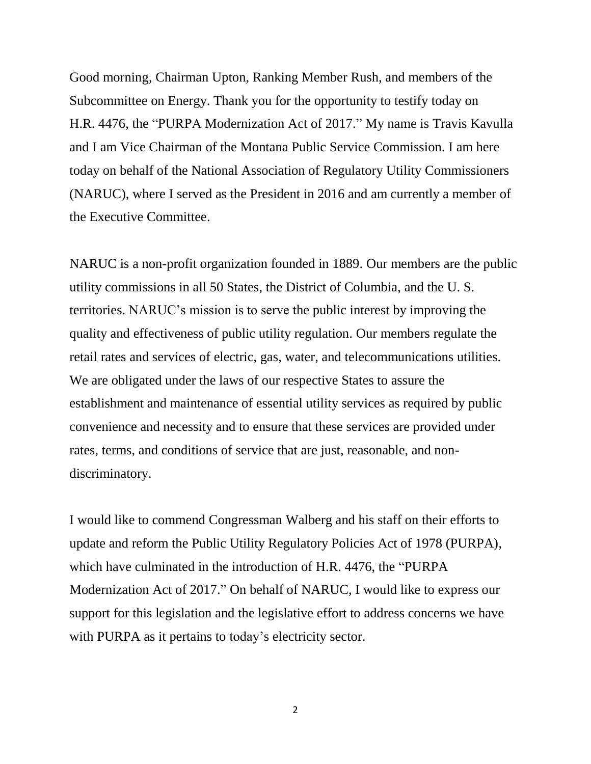Good morning, Chairman Upton, Ranking Member Rush, and members of the Subcommittee on Energy. Thank you for the opportunity to testify today on H.R. 4476, the "PURPA Modernization Act of 2017." My name is Travis Kavulla and I am Vice Chairman of the Montana Public Service Commission. I am here today on behalf of the National Association of Regulatory Utility Commissioners (NARUC), where I served as the President in 2016 and am currently a member of the Executive Committee.

NARUC is a non-profit organization founded in 1889. Our members are the public utility commissions in all 50 States, the District of Columbia, and the U. S. territories. NARUC's mission is to serve the public interest by improving the quality and effectiveness of public utility regulation. Our members regulate the retail rates and services of electric, gas, water, and telecommunications utilities. We are obligated under the laws of our respective States to assure the establishment and maintenance of essential utility services as required by public convenience and necessity and to ensure that these services are provided under rates, terms, and conditions of service that are just, reasonable, and nondiscriminatory.

I would like to commend Congressman Walberg and his staff on their efforts to update and reform the Public Utility Regulatory Policies Act of 1978 (PURPA), which have culminated in the introduction of H.R. 4476, the "PURPA Modernization Act of 2017." On behalf of NARUC, I would like to express our support for this legislation and the legislative effort to address concerns we have with PURPA as it pertains to today's electricity sector.

2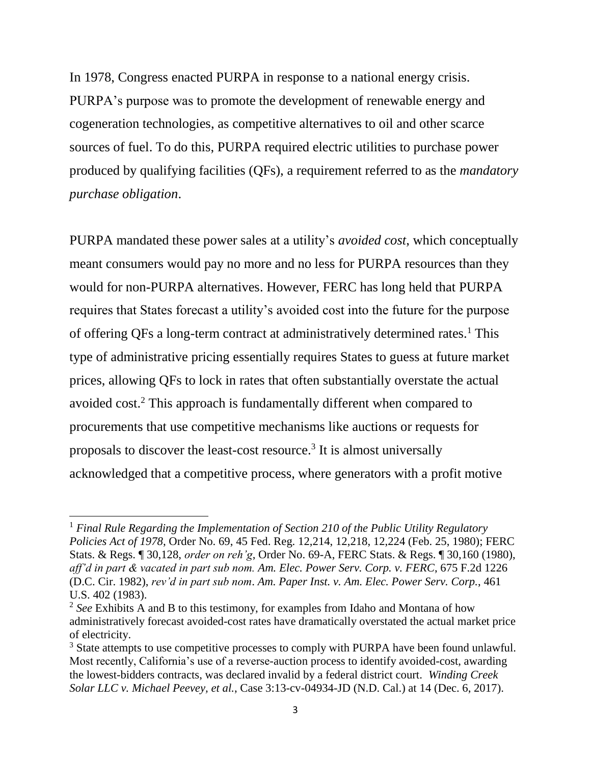In 1978, Congress enacted PURPA in response to a national energy crisis. PURPA's purpose was to promote the development of renewable energy and cogeneration technologies, as competitive alternatives to oil and other scarce sources of fuel. To do this, PURPA required electric utilities to purchase power produced by qualifying facilities (QFs), a requirement referred to as the *mandatory purchase obligation*.

PURPA mandated these power sales at a utility's *avoided cost*, which conceptually meant consumers would pay no more and no less for PURPA resources than they would for non-PURPA alternatives. However, FERC has long held that PURPA requires that States forecast a utility's avoided cost into the future for the purpose of offering QFs a long-term contract at administratively determined rates.<sup>1</sup> This type of administrative pricing essentially requires States to guess at future market prices, allowing QFs to lock in rates that often substantially overstate the actual avoided cost.<sup>2</sup> This approach is fundamentally different when compared to procurements that use competitive mechanisms like auctions or requests for proposals to discover the least-cost resource. 3 It is almost universally acknowledged that a competitive process, where generators with a profit motive

<sup>&</sup>lt;sup>1</sup> Final Rule Regarding the Implementation of Section 210 of the Public Utility Regulatory *Policies Act of 1978*, Order No. 69, 45 Fed. Reg. 12,214, 12,218, 12,224 (Feb. 25, 1980); FERC Stats. & Regs. ¶ 30,128, *order on reh'g*, Order No. 69-A, FERC Stats. & Regs. ¶ 30,160 (1980), *aff'd in part & vacated in part sub nom. Am. Elec. Power Serv. Corp. v. FERC*, 675 F.2d 1226 (D.C. Cir. 1982), *rev'd in part sub nom*. *Am. Paper Inst. v. Am. Elec. Power Serv. Corp.*, 461 U.S. 402 (1983).

<sup>2</sup> *See* Exhibits A and B to this testimony, for examples from Idaho and Montana of how administratively forecast avoided-cost rates have dramatically overstated the actual market price of electricity.

<sup>&</sup>lt;sup>3</sup> State attempts to use competitive processes to comply with PURPA have been found unlawful. Most recently, California's use of a reverse-auction process to identify avoided-cost, awarding the lowest-bidders contracts, was declared invalid by a federal district court. *Winding Creek Solar LLC v. Michael Peevey, et al.*, Case 3:13-cv-04934-JD (N.D. Cal.) at 14 (Dec. 6, 2017).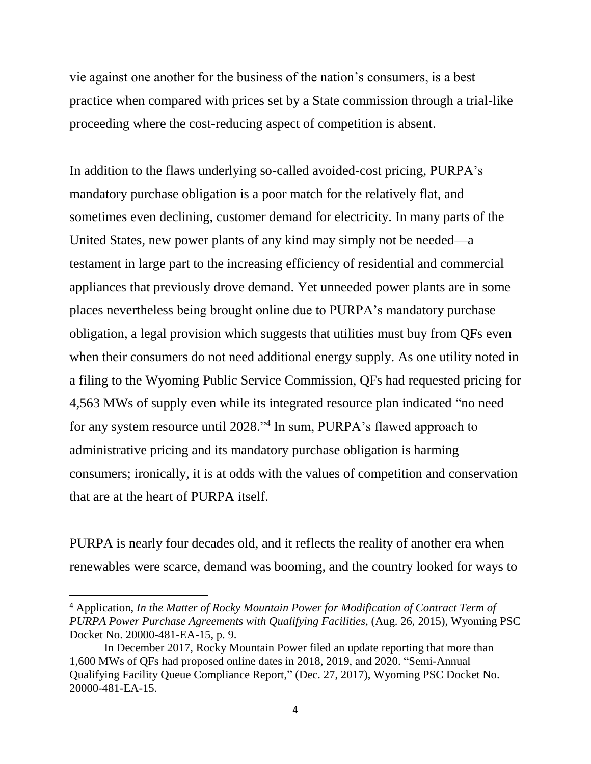vie against one another for the business of the nation's consumers, is a best practice when compared with prices set by a State commission through a trial-like proceeding where the cost-reducing aspect of competition is absent.

In addition to the flaws underlying so-called avoided-cost pricing, PURPA's mandatory purchase obligation is a poor match for the relatively flat, and sometimes even declining, customer demand for electricity. In many parts of the United States, new power plants of any kind may simply not be needed—a testament in large part to the increasing efficiency of residential and commercial appliances that previously drove demand. Yet unneeded power plants are in some places nevertheless being brought online due to PURPA's mandatory purchase obligation, a legal provision which suggests that utilities must buy from QFs even when their consumers do not need additional energy supply. As one utility noted in a filing to the Wyoming Public Service Commission, QFs had requested pricing for 4,563 MWs of supply even while its integrated resource plan indicated "no need for any system resource until 2028." 4 In sum, PURPA's flawed approach to administrative pricing and its mandatory purchase obligation is harming consumers; ironically, it is at odds with the values of competition and conservation that are at the heart of PURPA itself.

PURPA is nearly four decades old, and it reflects the reality of another era when renewables were scarce, demand was booming, and the country looked for ways to

<sup>4</sup> Application, *In the Matter of Rocky Mountain Power for Modification of Contract Term of PURPA Power Purchase Agreements with Qualifying Facilities*, (Aug. 26, 2015), Wyoming PSC Docket No. 20000-481-EA-15, p. 9.

In December 2017, Rocky Mountain Power filed an update reporting that more than 1,600 MWs of QFs had proposed online dates in 2018, 2019, and 2020. "Semi-Annual Qualifying Facility Queue Compliance Report," (Dec. 27, 2017), Wyoming PSC Docket No. 20000-481-EA-15.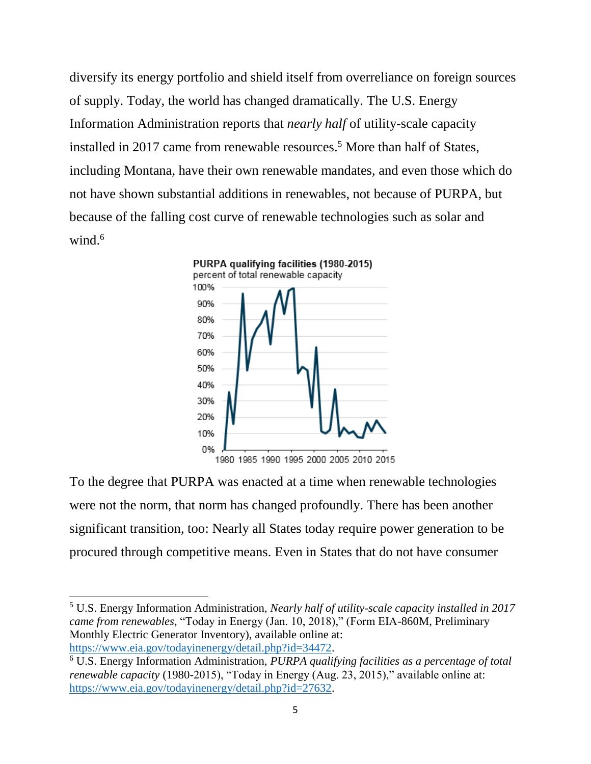diversify its energy portfolio and shield itself from overreliance on foreign sources of supply. Today, the world has changed dramatically. The U.S. Energy Information Administration reports that *nearly half* of utility-scale capacity installed in 2017 came from renewable resources.<sup>5</sup> More than half of States, including Montana, have their own renewable mandates, and even those which do not have shown substantial additions in renewables, not because of PURPA, but because of the falling cost curve of renewable technologies such as solar and wind. $6$ 



To the degree that PURPA was enacted at a time when renewable technologies were not the norm, that norm has changed profoundly. There has been another significant transition, too: Nearly all States today require power generation to be procured through competitive means. Even in States that do not have consumer

<sup>5</sup> U.S. Energy Information Administration, *Nearly half of utility-scale capacity installed in 2017 came from renewables*, "Today in Energy (Jan. 10, 2018)," (Form EIA-860M, Preliminary Monthly Electric Generator Inventory), available online at: [https://www.eia.gov/todayinenergy/detail.php?id=34472.](https://www.eia.gov/todayinenergy/detail.php?id=34472)

<sup>6</sup> U.S. Energy Information Administration, *PURPA qualifying facilities as a percentage of total renewable capacity* (1980-2015), "Today in Energy (Aug. 23, 2015)," available online at: [https://www.eia.gov/todayinenergy/detail.php?id=27632.](https://www.eia.gov/todayinenergy/detail.php?id=27632)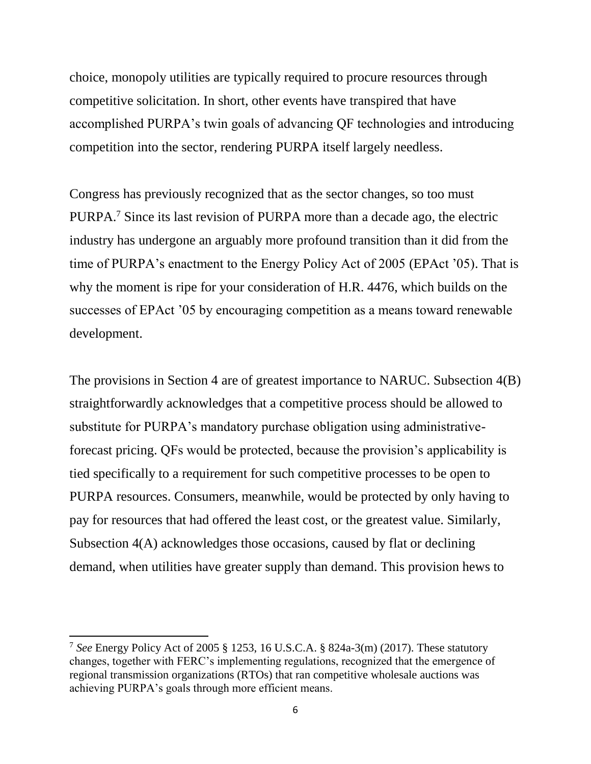choice, monopoly utilities are typically required to procure resources through competitive solicitation. In short, other events have transpired that have accomplished PURPA's twin goals of advancing QF technologies and introducing competition into the sector, rendering PURPA itself largely needless.

Congress has previously recognized that as the sector changes, so too must PURPA.<sup>7</sup> Since its last revision of PURPA more than a decade ago, the electric industry has undergone an arguably more profound transition than it did from the time of PURPA's enactment to the Energy Policy Act of 2005 (EPAct '05). That is why the moment is ripe for your consideration of H.R. 4476, which builds on the successes of EPAct '05 by encouraging competition as a means toward renewable development.

The provisions in Section 4 are of greatest importance to NARUC. Subsection 4(B) straightforwardly acknowledges that a competitive process should be allowed to substitute for PURPA's mandatory purchase obligation using administrativeforecast pricing. QFs would be protected, because the provision's applicability is tied specifically to a requirement for such competitive processes to be open to PURPA resources. Consumers, meanwhile, would be protected by only having to pay for resources that had offered the least cost, or the greatest value. Similarly, Subsection 4(A) acknowledges those occasions, caused by flat or declining demand, when utilities have greater supply than demand. This provision hews to

 $\overline{a}$ 

<sup>7</sup> *See* Energy Policy Act of 2005 § 1253, 16 U.S.C.A. § 824a-3(m) (2017). These statutory changes, together with FERC's implementing regulations, recognized that the emergence of regional transmission organizations (RTOs) that ran competitive wholesale auctions was achieving PURPA's goals through more efficient means.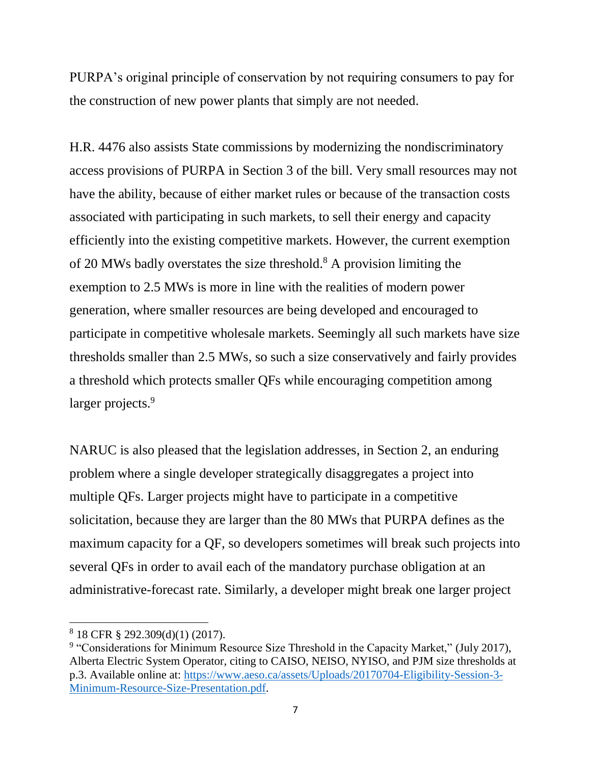PURPA's original principle of conservation by not requiring consumers to pay for the construction of new power plants that simply are not needed.

H.R. 4476 also assists State commissions by modernizing the nondiscriminatory access provisions of PURPA in Section 3 of the bill. Very small resources may not have the ability, because of either market rules or because of the transaction costs associated with participating in such markets, to sell their energy and capacity efficiently into the existing competitive markets. However, the current exemption of 20 MWs badly overstates the size threshold.<sup>8</sup> A provision limiting the exemption to 2.5 MWs is more in line with the realities of modern power generation, where smaller resources are being developed and encouraged to participate in competitive wholesale markets. Seemingly all such markets have size thresholds smaller than 2.5 MWs, so such a size conservatively and fairly provides a threshold which protects smaller QFs while encouraging competition among larger projects.<sup>9</sup>

NARUC is also pleased that the legislation addresses, in Section 2, an enduring problem where a single developer strategically disaggregates a project into multiple QFs. Larger projects might have to participate in a competitive solicitation, because they are larger than the 80 MWs that PURPA defines as the maximum capacity for a QF, so developers sometimes will break such projects into several QFs in order to avail each of the mandatory purchase obligation at an administrative-forecast rate. Similarly, a developer might break one larger project

l

<sup>8</sup> 18 CFR § 292.309(d)(1) (2017).

<sup>&</sup>lt;sup>9</sup> "Considerations for Minimum Resource Size Threshold in the Capacity Market," (July 2017), Alberta Electric System Operator, citing to CAISO, NEISO, NYISO, and PJM size thresholds at p.3. Available online at: [https://www.aeso.ca/assets/Uploads/20170704-Eligibility-Session-3-](https://www.aeso.ca/assets/Uploads/20170704-Eligibility-Session-3-Minimum-Resource-Size-Presentation.pdf) [Minimum-Resource-Size-Presentation.pdf.](https://www.aeso.ca/assets/Uploads/20170704-Eligibility-Session-3-Minimum-Resource-Size-Presentation.pdf)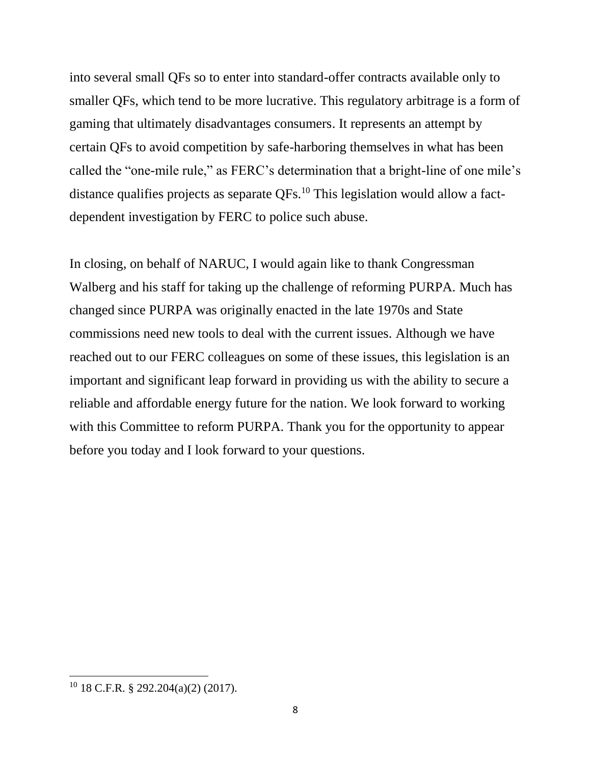into several small QFs so to enter into standard-offer contracts available only to smaller QFs, which tend to be more lucrative. This regulatory arbitrage is a form of gaming that ultimately disadvantages consumers. It represents an attempt by certain QFs to avoid competition by safe-harboring themselves in what has been called the "one-mile rule," as FERC's determination that a bright-line of one mile's distance qualifies projects as separate QFs.<sup>10</sup> This legislation would allow a factdependent investigation by FERC to police such abuse.

In closing, on behalf of NARUC, I would again like to thank Congressman Walberg and his staff for taking up the challenge of reforming PURPA. Much has changed since PURPA was originally enacted in the late 1970s and State commissions need new tools to deal with the current issues. Although we have reached out to our FERC colleagues on some of these issues, this legislation is an important and significant leap forward in providing us with the ability to secure a reliable and affordable energy future for the nation. We look forward to working with this Committee to reform PURPA. Thank you for the opportunity to appear before you today and I look forward to your questions.

 $10$  18 C.F.R. § 292.204(a)(2) (2017).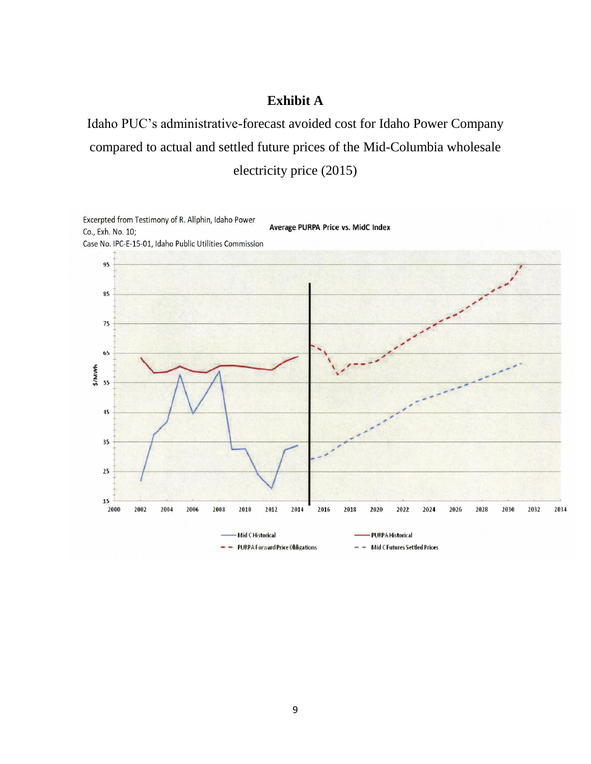## **Exhibit A**

Idaho PUC's administrative-forecast avoided cost for Idaho Power Company compared to actual and settled future prices of the Mid-Columbia wholesale electricity price (2015)